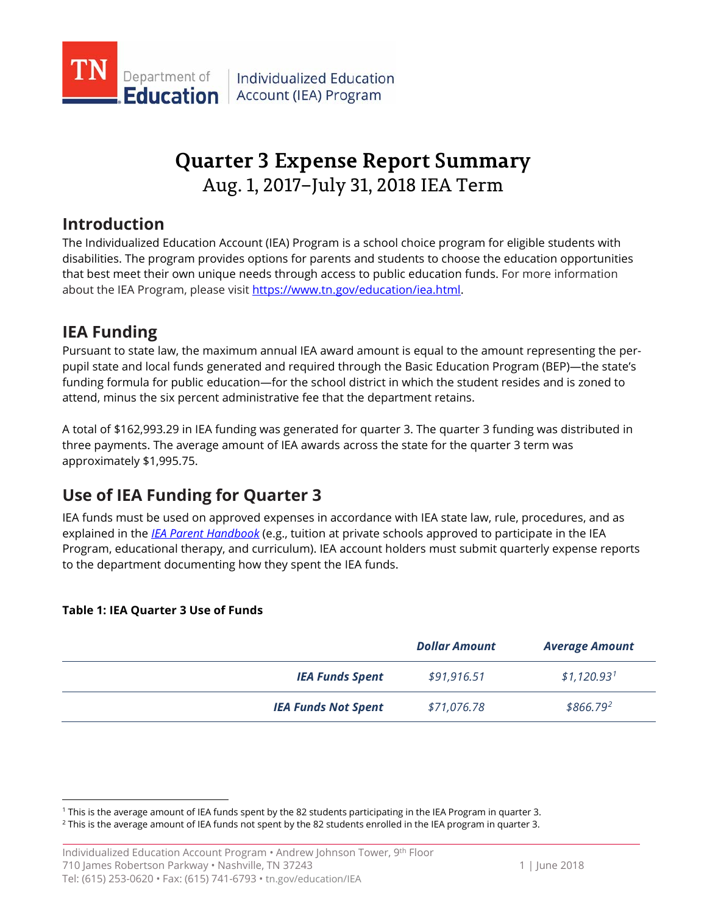

# **Quarter 3 Expense Report Summary** Aug. 1, 2017–July 31, 2018 IEA Term

## **Introduction**

The Individualized Education Account (IEA) Program is a school choice program for eligible students with disabilities. The program provides options for parents and students to choose the education opportunities that best meet their own unique needs through access to public education funds. For more information about the IEA Program, please visi[t https://www.tn.gov/education/iea.html.](https://www.tn.gov/education/iea.html)

# **IEA Funding**

Pursuant to state law, the maximum annual IEA award amount is equal to the amount representing the perpupil state and local funds generated and required through the Basic Education Program (BEP)—the state's funding formula for public education—for the school district in which the student resides and is zoned to attend, minus the six percent administrative fee that the department retains.

A total of \$162,993.29 in IEA funding was generated for quarter 3. The quarter 3 funding was distributed in three payments. The average amount of IEA awards across the state for the quarter 3 term was approximately \$1,995.75.

# **Use of IEA Funding for Quarter 3**

IEA funds must be used on approved expenses in accordance with IEA state law, rule, procedures, and as explained in the *[IEA Parent Handbook](https://www.tn.gov/education/iea/iea-resources.html)* (e.g., tuition at private schools approved to participate in the IEA Program, educational therapy, and curriculum). IEA account holders must submit quarterly expense reports to the department documenting how they spent the IEA funds.

### **Table 1: IEA Quarter 3 Use of Funds**

|                            | <b>Dollar Amount</b> | <b>Average Amount</b>   |
|----------------------------|----------------------|-------------------------|
| <b>IEA Funds Spent</b>     | \$91,916.51          | \$1,120.93 <sup>1</sup> |
| <b>IEA Funds Not Spent</b> | \$71,076.78          | \$866.792               |

<span id="page-0-1"></span><span id="page-0-0"></span><sup>&</sup>lt;sup>1</sup> This is the average amount of IEA funds spent by the 82 students participating in the IEA Program in quarter 3.<br><sup>2</sup> This is the average amount of IEA funds not spent by the 82 students enrolled in the IEA program in q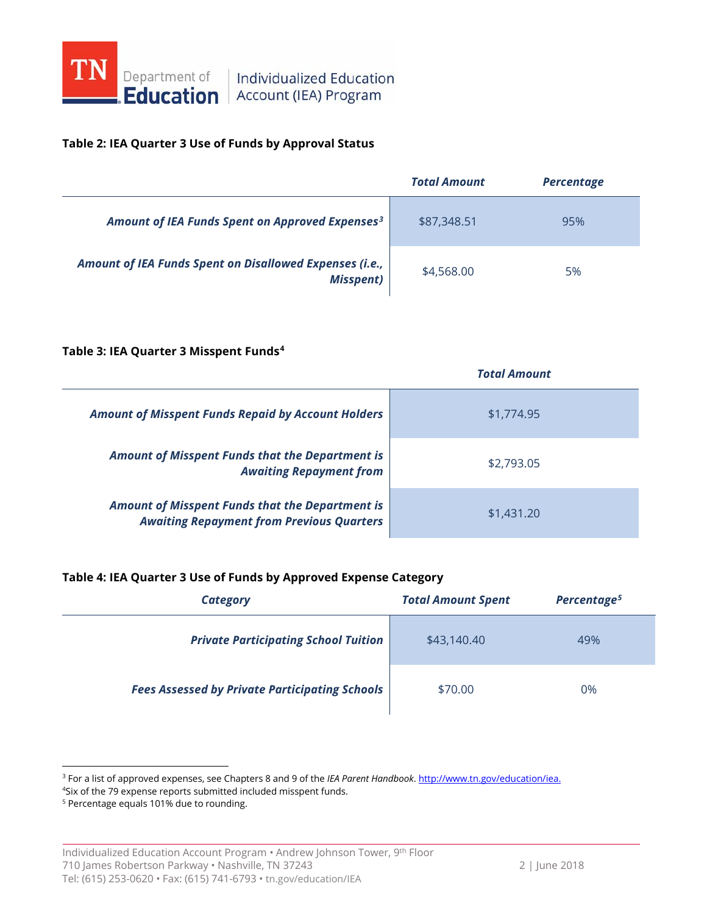

# **Education** Account (IEA) Program

#### **Table 2: IEA Quarter 3 Use of Funds by Approval Status**

|                                                                             | <b>Total Amount</b> | <b>Percentage</b> |
|-----------------------------------------------------------------------------|---------------------|-------------------|
| Amount of IEA Funds Spent on Approved Expenses <sup>3</sup>                 | \$87,348.51         | 95%               |
| Amount of IEA Funds Spent on Disallowed Expenses (i.e.,<br><b>Misspent)</b> | \$4,568.00          | 5%                |

#### **Table 3: IEA Quarter 3 Misspent Funds[4](#page-1-1)**

|                                                                                                            | <b>Total Amount</b> |
|------------------------------------------------------------------------------------------------------------|---------------------|
| <b>Amount of Misspent Funds Repaid by Account Holders</b>                                                  | \$1,774.95          |
| Amount of Misspent Funds that the Department is<br><b>Awaiting Repayment from</b>                          | \$2,793.05          |
| <b>Amount of Misspent Funds that the Department is</b><br><b>Awaiting Repayment from Previous Quarters</b> | \$1,431.20          |

### **Table 4: IEA Quarter 3 Use of Funds by Approved Expense Category**

| Category                                              | <b>Total Amount Spent</b> | Percentage <sup>5</sup> |
|-------------------------------------------------------|---------------------------|-------------------------|
| <b>Private Participating School Tuition</b>           | \$43,140.40               | 49%                     |
| <b>Fees Assessed by Private Participating Schools</b> | \$70.00                   | 0%                      |

<span id="page-1-0"></span>3 For a list of approved expenses, see Chapters <sup>8</sup> and 9 of the *IEA Parent Handbook*[. http://www.tn.gov/education/iea.](http://www.tn.gov/education/iea)

4 Six of the 79 expense reports submitted included misspent funds.

<span id="page-1-2"></span><span id="page-1-1"></span><sup>5</sup> Percentage equals 101% due to rounding.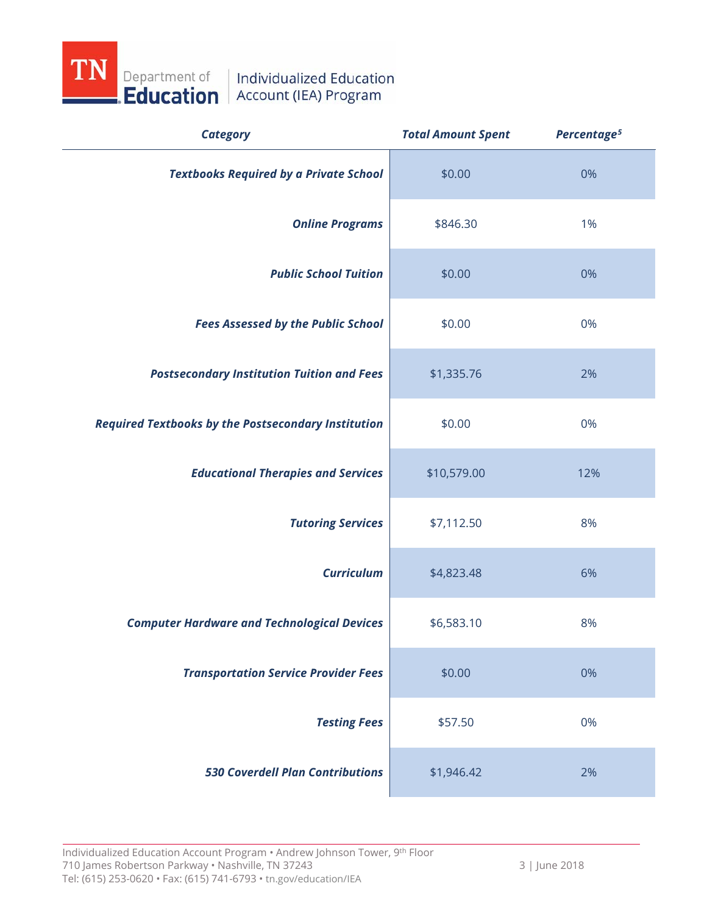

| <b>Category</b>                                            | <b>Total Amount Spent</b> | Percentage <sup>5</sup> |
|------------------------------------------------------------|---------------------------|-------------------------|
| <b>Textbooks Required by a Private School</b>              | \$0.00                    | 0%                      |
| <b>Online Programs</b>                                     | \$846.30                  | 1%                      |
| <b>Public School Tuition</b>                               | \$0.00                    | 0%                      |
| <b>Fees Assessed by the Public School</b>                  | \$0.00                    | 0%                      |
| <b>Postsecondary Institution Tuition and Fees</b>          | \$1,335.76                | 2%                      |
| <b>Required Textbooks by the Postsecondary Institution</b> | \$0.00                    | 0%                      |
| <b>Educational Therapies and Services</b>                  | \$10,579.00               | 12%                     |
| <b>Tutoring Services</b>                                   | \$7,112.50                | 8%                      |
| <b>Curriculum</b>                                          | \$4,823.48                | 6%                      |
| <b>Computer Hardware and Technological Devices</b>         | \$6,583.10                | 8%                      |
| <b>Transportation Service Provider Fees</b>                | \$0.00                    | 0%                      |
| <b>Testing Fees</b>                                        | \$57.50                   | 0%                      |
| <b>530 Coverdell Plan Contributions</b>                    | \$1,946.42                | 2%                      |